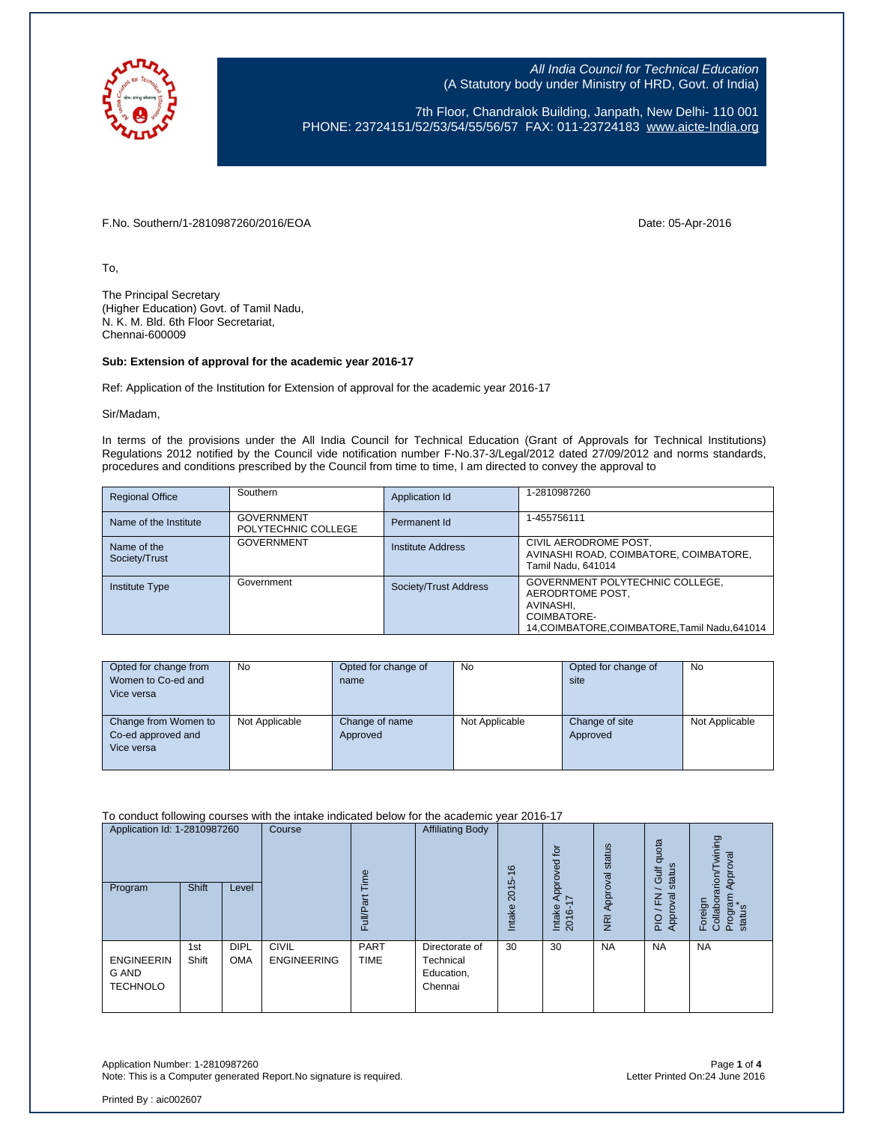

7th Floor, Chandralok Building, Janpath, New Delhi- 110 001 PHONE: 23724151/52/53/54/55/56/57 FAX: 011-23724183 [www.aicte-India.org](http://www.aicte-india.org/)

F.No. Southern/1-2810987260/2016/EOA Date: 05-Apr-2016

To,

The Principal Secretary (Higher Education) Govt. of Tamil Nadu, N. K. M. Bld. 6th Floor Secretariat, Chennai-600009

## **Sub: Extension of approval for the academic year 2016-17**

Ref: Application of the Institution for Extension of approval for the academic year 2016-17

Sir/Madam,

In terms of the provisions under the All India Council for Technical Education (Grant of Approvals for Technical Institutions) Regulations 2012 notified by the Council vide notification number F-No.37-3/Legal/2012 dated 27/09/2012 and norms standards, procedures and conditions prescribed by the Council from time to time, I am directed to convey the approval to

| <b>Regional Office</b>       | Southern                                 | Application Id        | 1-2810987260                                                                                                                  |
|------------------------------|------------------------------------------|-----------------------|-------------------------------------------------------------------------------------------------------------------------------|
| Name of the Institute        | <b>GOVERNMENT</b><br>POLYTECHNIC COLLEGE | Permanent Id          | 1-455756111                                                                                                                   |
| Name of the<br>Society/Trust | <b>GOVERNMENT</b>                        | Institute Address     | CIVIL AERODROME POST,<br>AVINASHI ROAD, COIMBATORE, COIMBATORE,<br>Tamil Nadu, 641014                                         |
| <b>Institute Type</b>        | Government                               | Society/Trust Address | GOVERNMENT POLYTECHNIC COLLEGE,<br>AERODRTOME POST.<br>AVINASHI,<br>COIMBATORE-<br>14.COIMBATORE.COIMBATORE.Tamil Nadu.641014 |

| Opted for change from | <b>No</b>      | Opted for change of | No             | Opted for change of | <b>No</b>      |
|-----------------------|----------------|---------------------|----------------|---------------------|----------------|
| Women to Co-ed and    |                | name                |                | site                |                |
| Vice versa            |                |                     |                |                     |                |
|                       |                |                     |                |                     |                |
| Change from Women to  | Not Applicable | Change of name      | Not Applicable | Change of site      | Not Applicable |
| Co-ed approved and    |                | Approved            |                | Approved            |                |
| Vice versa            |                |                     |                |                     |                |
|                       |                |                     |                |                     |                |

To conduct following courses with the intake indicated below for the academic year 2016-17

| Application Id: 1-2810987260<br>Program       | <b>Shift</b> | Level                     | Course                             | euil<br>ত<br>FullP         | <b>Affiliating Body</b>                              | $\frac{6}{5}$<br>2015<br>Intake | $\overline{b}$<br>Approved<br>$\overline{ }$<br>Intake<br>2016- | status<br>Approval<br>$\overline{g}$ | quota<br>status<br><b>Gulf</b><br>준<br>ख़<br>Approv<br>PIO | wining<br>Approval<br>arion/<br>Program<br>Foreign<br>Collabor<br>status |
|-----------------------------------------------|--------------|---------------------------|------------------------------------|----------------------------|------------------------------------------------------|---------------------------------|-----------------------------------------------------------------|--------------------------------------|------------------------------------------------------------|--------------------------------------------------------------------------|
| <b>ENGINEERIN</b><br>G AND<br><b>TECHNOLO</b> | 1st<br>Shift | <b>DIPL</b><br><b>OMA</b> | <b>CIVIL</b><br><b>ENGINEERING</b> | <b>PART</b><br><b>TIME</b> | Directorate of<br>Technical<br>Education,<br>Chennai | 30                              | 30                                                              | <b>NA</b>                            | <b>NA</b>                                                  | <b>NA</b>                                                                |

Application Number: 1-2810987260 Page **1** of **4** Note: This is a Computer generated Report.No signature is required.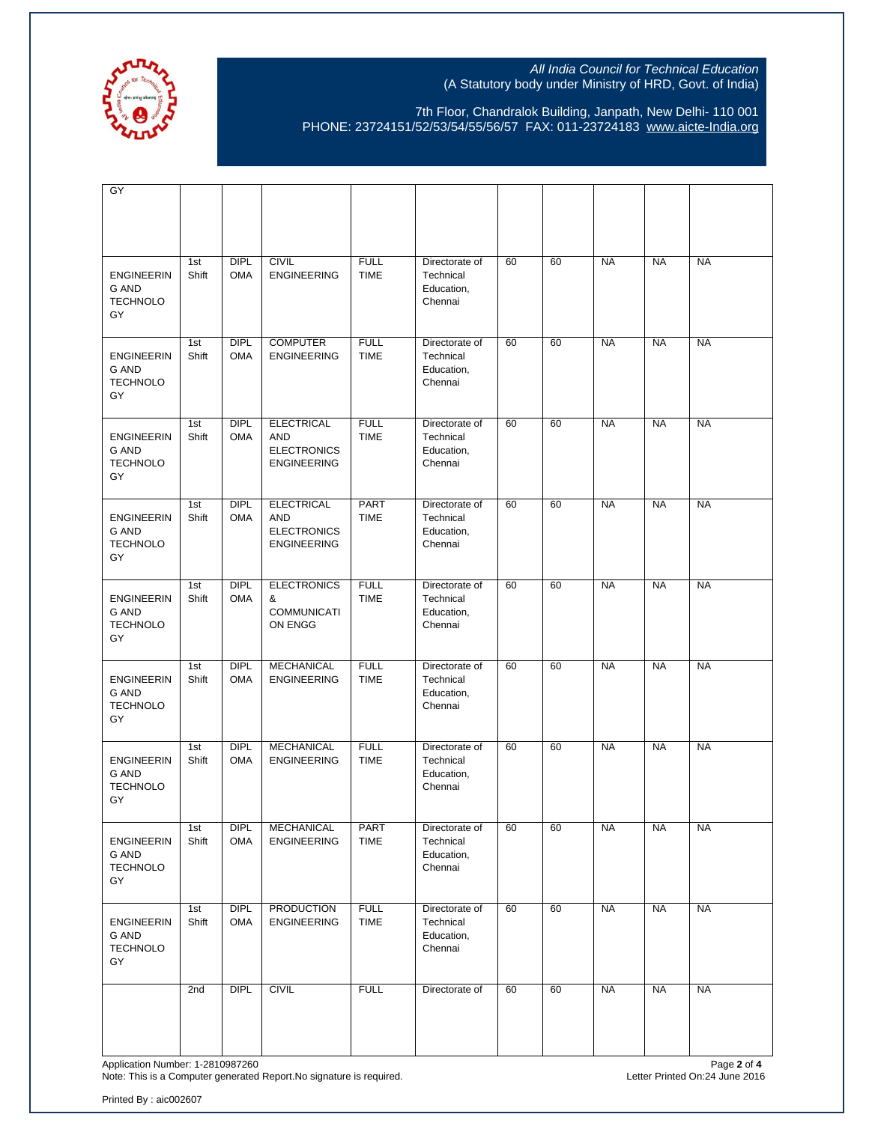

7th Floor, Chandralok Building, Janpath, New Delhi- 110 001 PHONE: 23724151/52/53/54/55/56/57 FAX: 011-23724183 [www.aicte-India.org](http://www.aicte-india.org/)

| $\overline{GY}$                                            |              |                           |                                                                             |                            |                                                      |    |    |           |           |           |
|------------------------------------------------------------|--------------|---------------------------|-----------------------------------------------------------------------------|----------------------------|------------------------------------------------------|----|----|-----------|-----------|-----------|
| <b>ENGINEERIN</b><br><b>G AND</b><br><b>TECHNOLO</b><br>GY | 1st<br>Shift | <b>DIPL</b><br><b>OMA</b> | <b>CIVIL</b><br><b>ENGINEERING</b>                                          | <b>FULL</b><br><b>TIME</b> | Directorate of<br>Technical<br>Education,<br>Chennai | 60 | 60 | <b>NA</b> | <b>NA</b> | <b>NA</b> |
| <b>ENGINEERIN</b><br><b>G AND</b><br><b>TECHNOLO</b><br>GY | 1st<br>Shift | DIPL<br><b>OMA</b>        | <b>COMPUTER</b><br><b>ENGINEERING</b>                                       | <b>FULL</b><br><b>TIME</b> | Directorate of<br>Technical<br>Education,<br>Chennai | 60 | 60 | <b>NA</b> | <b>NA</b> | <b>NA</b> |
| <b>ENGINEERIN</b><br><b>G AND</b><br><b>TECHNOLO</b><br>GY | 1st<br>Shift | <b>DIPL</b><br><b>OMA</b> | <b>ELECTRICAL</b><br>AND<br><b>ELECTRONICS</b><br><b>ENGINEERING</b>        | <b>FULL</b><br><b>TIME</b> | Directorate of<br>Technical<br>Education,<br>Chennai | 60 | 60 | <b>NA</b> | <b>NA</b> | <b>NA</b> |
| <b>ENGINEERIN</b><br><b>G AND</b><br><b>TECHNOLO</b><br>GY | 1st<br>Shift | <b>DIPL</b><br><b>OMA</b> | <b>ELECTRICAL</b><br><b>AND</b><br><b>ELECTRONICS</b><br><b>ENGINEERING</b> | PART<br><b>TIME</b>        | Directorate of<br>Technical<br>Education,<br>Chennai | 60 | 60 | <b>NA</b> | <b>NA</b> | <b>NA</b> |
| <b>ENGINEERIN</b><br><b>G AND</b><br><b>TECHNOLO</b><br>GY | 1st<br>Shift | <b>DIPL</b><br><b>OMA</b> | <b>ELECTRONICS</b><br>&<br><b>COMMUNICATI</b><br>ON ENGG                    | <b>FULL</b><br><b>TIME</b> | Directorate of<br>Technical<br>Education,<br>Chennai | 60 | 60 | <b>NA</b> | <b>NA</b> | <b>NA</b> |
| <b>ENGINEERIN</b><br><b>G AND</b><br><b>TECHNOLO</b><br>GY | 1st<br>Shift | <b>DIPL</b><br><b>OMA</b> | <b>MECHANICAL</b><br><b>ENGINEERING</b>                                     | <b>FULL</b><br><b>TIME</b> | Directorate of<br>Technical<br>Education,<br>Chennai | 60 | 60 | <b>NA</b> | <b>NA</b> | <b>NA</b> |
| <b>ENGINEERIN</b><br><b>G AND</b><br><b>TECHNOLO</b><br>GY | 1st<br>Shift | <b>DIPL</b><br><b>OMA</b> | <b>MECHANICAL</b><br><b>ENGINEERING</b>                                     | <b>FULL</b><br><b>TIME</b> | Directorate of<br>Technical<br>Education,<br>Chennai | 60 | 60 | <b>NA</b> | <b>NA</b> | <b>NA</b> |
| <b>ENGINEERIN</b><br>G AND<br><b>TECHNOLO</b><br>GY        | 1st<br>Shift | <b>DIPL</b><br><b>OMA</b> | <b>MECHANICAL</b><br><b>ENGINEERING</b>                                     | <b>PART</b><br><b>TIME</b> | Directorate of<br>Technical<br>Education,<br>Chennai | 60 | 60 | <b>NA</b> | <b>NA</b> | <b>NA</b> |
| <b>ENGINEERIN</b><br><b>G AND</b><br><b>TECHNOLO</b><br>GY | 1st<br>Shift | <b>DIPL</b><br><b>OMA</b> | <b>PRODUCTION</b><br><b>ENGINEERING</b>                                     | <b>FULL</b><br><b>TIME</b> | Directorate of<br>Technical<br>Education,<br>Chennai | 60 | 60 | <b>NA</b> | <b>NA</b> | <b>NA</b> |
|                                                            | 2nd          | <b>DIPL</b>               | <b>CIVIL</b>                                                                | <b>FULL</b>                | Directorate of                                       | 60 | 60 | <b>NA</b> | <b>NA</b> | <b>NA</b> |

Application Number: 1-2810987260 Page **2** of **4** Note: This is a Computer generated Report.No signature is required. Letter Printed On:24 June 2016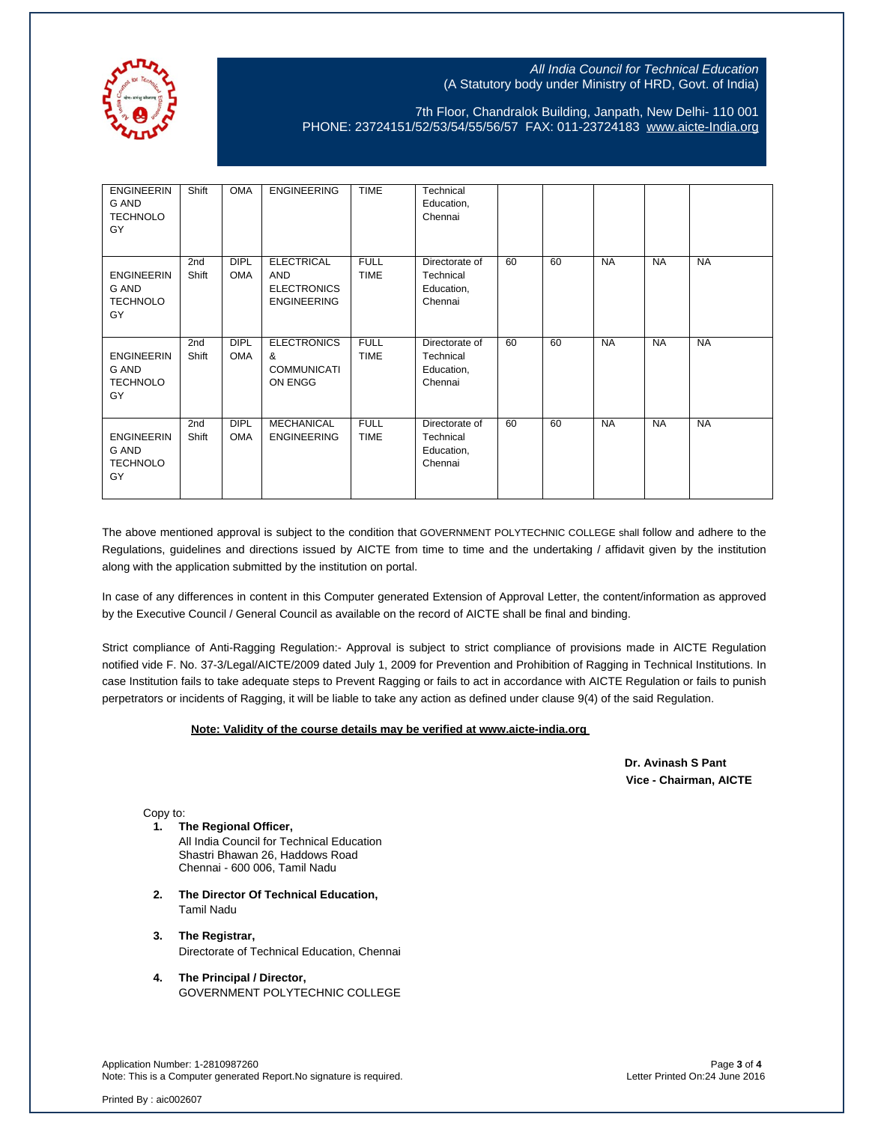

7th Floor, Chandralok Building, Janpath, New Delhi- 110 001 PHONE: 23724151/52/53/54/55/56/57 FAX: 011-23724183 [www.aicte-India.org](http://www.aicte-india.org/)

| <b>ENGINEERIN</b><br>G AND<br><b>TECHNOLO</b><br>GY        | Shift                    | <b>OMA</b>                | <b>ENGINEERING</b>                                                          | <b>TIME</b>                | Technical<br>Education,<br>Chennai                   |    |    |           |           |           |
|------------------------------------------------------------|--------------------------|---------------------------|-----------------------------------------------------------------------------|----------------------------|------------------------------------------------------|----|----|-----------|-----------|-----------|
| <b>ENGINEERIN</b><br>G AND<br><b>TECHNOLO</b><br>GY        | 2nd<br>Shift             | <b>DIPL</b><br><b>OMA</b> | <b>ELECTRICAL</b><br><b>AND</b><br><b>ELECTRONICS</b><br><b>ENGINEERING</b> | <b>FULL</b><br><b>TIME</b> | Directorate of<br>Technical<br>Education,<br>Chennai | 60 | 60 | <b>NA</b> | <b>NA</b> | <b>NA</b> |
| <b>ENGINEERIN</b><br>G AND<br><b>TECHNOLO</b><br>GY        | 2 <sub>nd</sub><br>Shift | <b>DIPL</b><br><b>OMA</b> | <b>ELECTRONICS</b><br>&<br><b>COMMUNICATI</b><br>ON ENGG                    | <b>FULL</b><br><b>TIME</b> | Directorate of<br>Technical<br>Education,<br>Chennai | 60 | 60 | <b>NA</b> | <b>NA</b> | <b>NA</b> |
| <b>ENGINEERIN</b><br><b>G AND</b><br><b>TECHNOLO</b><br>GY | 2nd<br>Shift             | <b>DIPL</b><br><b>OMA</b> | <b>MECHANICAL</b><br><b>ENGINEERING</b>                                     | <b>FULL</b><br><b>TIME</b> | Directorate of<br>Technical<br>Education,<br>Chennai | 60 | 60 | <b>NA</b> | <b>NA</b> | <b>NA</b> |

The above mentioned approval is subject to the condition that GOVERNMENT POLYTECHNIC COLLEGE shall follow and adhere to the Regulations, guidelines and directions issued by AICTE from time to time and the undertaking / affidavit given by the institution along with the application submitted by the institution on portal.

In case of any differences in content in this Computer generated Extension of Approval Letter, the content/information as approved by the Executive Council / General Council as available on the record of AICTE shall be final and binding.

Strict compliance of Anti-Ragging Regulation:- Approval is subject to strict compliance of provisions made in AICTE Regulation notified vide F. No. 37-3/Legal/AICTE/2009 dated July 1, 2009 for Prevention and Prohibition of Ragging in Technical Institutions. In case Institution fails to take adequate steps to Prevent Ragging or fails to act in accordance with AICTE Regulation or fails to punish perpetrators or incidents of Ragging, it will be liable to take any action as defined under clause 9(4) of the said Regulation.

## **Note: Validity of the course details may be verified at www.aicte-india.org**

 **Dr. Avinash S Pant Vice - Chairman, AICTE**

Copy to:

- **1. The Regional Officer,** All India Council for Technical Education Shastri Bhawan 26, Haddows Road Chennai - 600 006, Tamil Nadu
- **2. The Director Of Technical Education,** Tamil Nadu
- **3. The Registrar,** Directorate of Technical Education, Chennai
- **4. The Principal / Director,** GOVERNMENT POLYTECHNIC COLLEGE